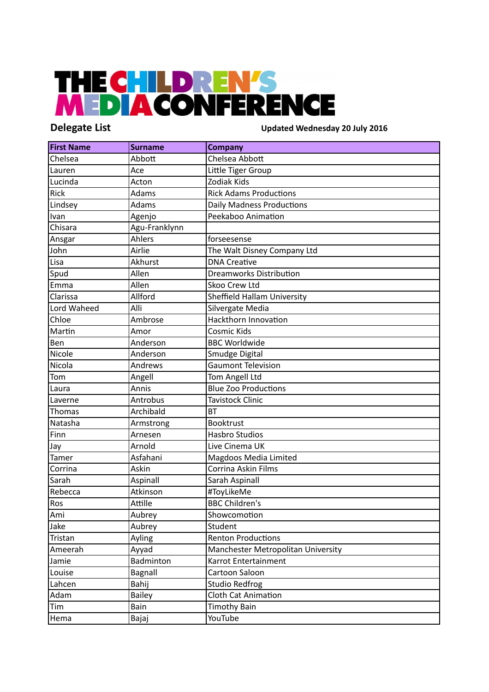## THE CHILDREN'S<br>MEDIACONFERENCE

**Delegate List Updated Wednesday 20 July 2016**

| <b>First Name</b> | <b>Surname</b> | <b>Company</b>                     |
|-------------------|----------------|------------------------------------|
| Chelsea           | Abbott         | Chelsea Abbott                     |
| Lauren            | Ace            | Little Tiger Group                 |
| Lucinda           | Acton          | Zodiak Kids                        |
| Rick              | Adams          | <b>Rick Adams Productions</b>      |
| Lindsey           | Adams          | <b>Daily Madness Productions</b>   |
| Ivan              | Agenjo         | Peekaboo Animation                 |
| Chisara           | Agu-Franklynn  |                                    |
| Ansgar            | Ahlers         | forseesense                        |
| John              | Airlie         | The Walt Disney Company Ltd        |
| Lisa              | Akhurst        | <b>DNA Creative</b>                |
| Spud              | Allen          | <b>Dreamworks Distribution</b>     |
| Emma              | Allen          | Skoo Crew Ltd                      |
| Clarissa          | Allford        | Sheffield Hallam University        |
| Lord Waheed       | Alli           | Silvergate Media                   |
| Chloe             | Ambrose        | Hackthorn Innovation               |
| Martin            | Amor           | Cosmic Kids                        |
| Ben               | Anderson       | <b>BBC Worldwide</b>               |
| Nicole            | Anderson       | Smudge Digital                     |
| Nicola            | Andrews        | <b>Gaumont Television</b>          |
| Tom               | Angell         | Tom Angell Ltd                     |
| Laura             | Annis          | <b>Blue Zoo Productions</b>        |
| Laverne           | Antrobus       | <b>Tavistock Clinic</b>            |
| <b>Thomas</b>     | Archibald      | <b>BT</b>                          |
| Natasha           | Armstrong      | <b>Booktrust</b>                   |
| Finn              | Arnesen        | <b>Hasbro Studios</b>              |
| Jay               | Arnold         | Live Cinema UK                     |
| Tamer             | Asfahani       | Magdoos Media Limited              |
| Corrina           | Askin          | Corrina Askin Films                |
| Sarah             | Aspinall       | Sarah Aspinall                     |
| Rebecca           | Atkinson       | #ToyLikeMe                         |
| Ros               | Attille        | <b>BBC Children's</b>              |
| Ami               | Aubrey         | Showcomotion                       |
| Jake              | Aubrey         | Student                            |
| Tristan           | Ayling         | <b>Renton Productions</b>          |
| Ameerah           | Ayyad          | Manchester Metropolitan University |
| Jamie             | Badminton      | Karrot Entertainment               |
| Louise            | Bagnall        | Cartoon Saloon                     |
| Lahcen            | Bahij          | <b>Studio Redfrog</b>              |
| Adam              | <b>Bailey</b>  | <b>Cloth Cat Animation</b>         |
| Tim               | Bain           | <b>Timothy Bain</b>                |
| Hema              | Bajaj          | YouTube                            |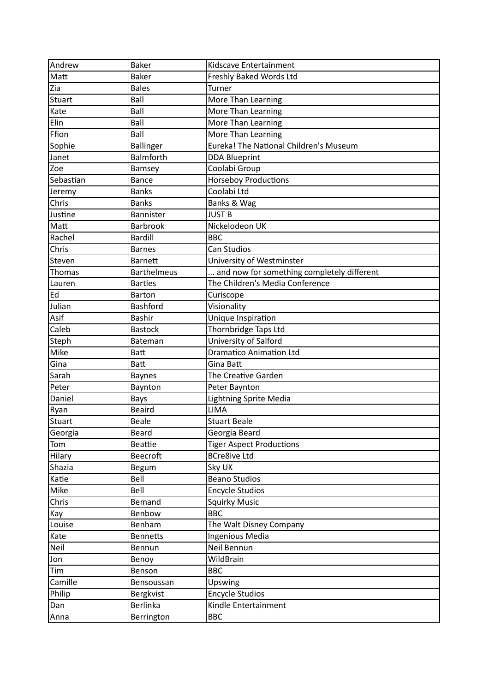| Andrew        | <b>Baker</b>       | Kidscave Entertainment                        |
|---------------|--------------------|-----------------------------------------------|
| Matt          | <b>Baker</b>       | Freshly Baked Words Ltd                       |
| Zia           | <b>Bales</b>       | Turner                                        |
| Stuart        | Ball               | More Than Learning                            |
| Kate          | Ball               | More Than Learning                            |
| Elin          | Ball               | More Than Learning                            |
| Ffion         | Ball               | More Than Learning                            |
| Sophie        | <b>Ballinger</b>   | <b>Eureka! The National Children's Museum</b> |
| Janet         | Balmforth          | <b>DDA Blueprint</b>                          |
| Zoe           | Bamsey             | Coolabi Group                                 |
| Sebastian     | <b>Bance</b>       | <b>Horseboy Productions</b>                   |
| Jeremy        | <b>Banks</b>       | Coolabi Ltd                                   |
| Chris         | <b>Banks</b>       | Banks & Wag                                   |
| Justine       | Bannister          | <b>JUST B</b>                                 |
| Matt          | <b>Barbrook</b>    | Nickelodeon UK                                |
| Rachel        | <b>Bardill</b>     | <b>BBC</b>                                    |
| Chris         | <b>Barnes</b>      | <b>Can Studios</b>                            |
| Steven        | <b>Barnett</b>     | University of Westminster                     |
| Thomas        | <b>Barthelmeus</b> | and now for something completely different    |
| Lauren        | <b>Bartles</b>     | The Children's Media Conference               |
| Ed            | <b>Barton</b>      | Curiscope                                     |
| Julian        | <b>Bashford</b>    | Visionality                                   |
| Asif          | Bashir             | Unique Inspiration                            |
| Caleb         | <b>Bastock</b>     | Thornbridge Taps Ltd                          |
| Steph         | <b>Bateman</b>     | University of Salford                         |
| Mike          | <b>Batt</b>        | <b>Dramatico Animation Ltd</b>                |
| Gina          | <b>Batt</b>        | Gina Batt                                     |
| Sarah         | <b>Baynes</b>      | The Creative Garden                           |
| Peter         | Baynton            | Peter Baynton                                 |
| Daniel        | <b>Bays</b>        | <b>Lightning Sprite Media</b>                 |
| Ryan          | <b>Beaird</b>      | <b>LIMA</b>                                   |
| <b>Stuart</b> | <b>Beale</b>       | <b>Stuart Beale</b>                           |
| Georgia       | Beard              | Georgia Beard                                 |
| Tom           | <b>Beattie</b>     | <b>Tiger Aspect Productions</b>               |
| Hilary        | <b>Beecroft</b>    | <b>BCre8ive Ltd</b>                           |
| Shazia        | Begum              | Sky UK                                        |
| Katie         | Bell               | <b>Beano Studios</b>                          |
| Mike          | Bell               | <b>Encycle Studios</b>                        |
| Chris         | Bemand             | <b>Squirky Music</b>                          |
| Kay           | Benbow             | <b>BBC</b>                                    |
| Louise        | Benham             | The Walt Disney Company                       |
| Kate          | <b>Bennetts</b>    | Ingenious Media                               |
| Neil          | Bennun             | Neil Bennun                                   |
| Jon           | Benoy              | WildBrain                                     |
| Tim           | Benson             | <b>BBC</b>                                    |
| Camille       | Bensoussan         | Upswing                                       |
| Philip        | Bergkvist          | <b>Encycle Studios</b>                        |
| Dan           | Berlinka           | Kindle Entertainment                          |
| Anna          | Berrington         | <b>BBC</b>                                    |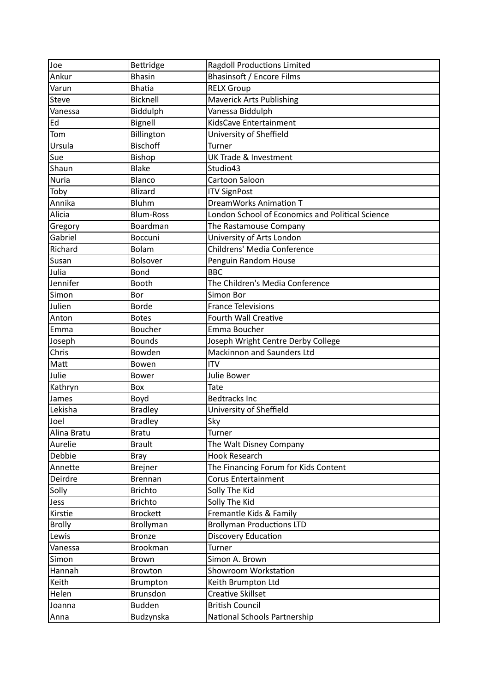| Joe           | Bettridge        | <b>Ragdoll Productions Limited</b>               |
|---------------|------------------|--------------------------------------------------|
| Ankur         | <b>Bhasin</b>    | <b>Bhasinsoft / Encore Films</b>                 |
| Varun         | <b>Bhatia</b>    | <b>RELX Group</b>                                |
| <b>Steve</b>  | <b>Bicknell</b>  | <b>Maverick Arts Publishing</b>                  |
| Vanessa       | Biddulph         | Vanessa Biddulph                                 |
| Ed            | Bignell          | KidsCave Entertainment                           |
| Tom           | Billington       | University of Sheffield                          |
| Ursula        | <b>Bischoff</b>  | Turner                                           |
| Sue           | Bishop           | <b>UK Trade &amp; Investment</b>                 |
| Shaun         | <b>Blake</b>     | Studio43                                         |
| <b>Nuria</b>  | Blanco           | Cartoon Saloon                                   |
| Toby          | <b>Blizard</b>   | <b>ITV SignPost</b>                              |
| Annika        | <b>Bluhm</b>     | DreamWorks Animation T                           |
| Alicia        | <b>Blum-Ross</b> | London School of Economics and Political Science |
| Gregory       | Boardman         | The Rastamouse Company                           |
| Gabriel       | <b>Boccuni</b>   | University of Arts London                        |
| Richard       | Bolam            | Childrens' Media Conference                      |
| Susan         | Bolsover         | Penguin Random House                             |
| Julia         | Bond             | <b>BBC</b>                                       |
| Jennifer      | Booth            | The Children's Media Conference                  |
| Simon         | Bor              | Simon Bor                                        |
| Julien        | <b>Borde</b>     | <b>France Televisions</b>                        |
| Anton         | <b>Botes</b>     | Fourth Wall Creative                             |
| Emma          | Boucher          | Emma Boucher                                     |
| Joseph        | <b>Bounds</b>    | Joseph Wright Centre Derby College               |
| Chris         | Bowden           | Mackinnon and Saunders Ltd                       |
| Matt          | Bowen            | <b>ITV</b>                                       |
| Julie         | Bower            | Julie Bower                                      |
| Kathryn       | Box              | <b>Tate</b>                                      |
| James         | Boyd             | <b>Bedtracks Inc</b>                             |
| Lekisha       | <b>Bradley</b>   | University of Sheffield                          |
| Joel          | <b>Bradley</b>   | Sky                                              |
| Alina Bratu   | <b>Bratu</b>     | Turner                                           |
| Aurelie       | <b>Brault</b>    | The Walt Disney Company                          |
| Debbie        | <b>Bray</b>      | <b>Hook Research</b>                             |
| Annette       | <b>Brejner</b>   | The Financing Forum for Kids Content             |
| Deirdre       | <b>Brennan</b>   | <b>Corus Entertainment</b>                       |
| Solly         | <b>Brichto</b>   | Solly The Kid                                    |
| Jess          | <b>Brichto</b>   | Solly The Kid                                    |
| Kirstie       | <b>Brockett</b>  | Fremantle Kids & Family                          |
| <b>Brolly</b> | Brollyman        | <b>Brollyman Productions LTD</b>                 |
| Lewis         | <b>Bronze</b>    | Discovery Education                              |
| Vanessa       | <b>Brookman</b>  | Turner                                           |
| Simon         | Brown            | Simon A. Brown                                   |
| Hannah        | Browton          | Showroom Workstation                             |
| Keith         | <b>Brumpton</b>  | Keith Brumpton Ltd                               |
| Helen         | Brunsdon         | <b>Creative Skillset</b>                         |
| Joanna        | <b>Budden</b>    | <b>British Council</b>                           |
| Anna          | Budzynska        | National Schools Partnership                     |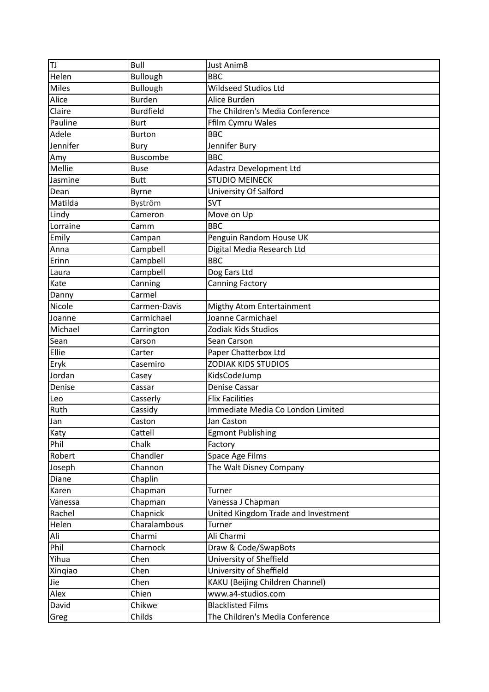| ΙTJ      | Bull             | <b>Just Anim8</b>                   |
|----------|------------------|-------------------------------------|
| Helen    | <b>Bullough</b>  | <b>BBC</b>                          |
| Miles    | <b>Bullough</b>  | Wildseed Studios Ltd                |
| Alice    | <b>Burden</b>    | Alice Burden                        |
| Claire   | <b>Burdfield</b> | The Children's Media Conference     |
| Pauline  | <b>Burt</b>      | Ffilm Cymru Wales                   |
| Adele    | <b>Burton</b>    | <b>BBC</b>                          |
| Jennifer | Bury             | Jennifer Bury                       |
| Amy      | <b>Buscombe</b>  | <b>BBC</b>                          |
| Mellie   | <b>Buse</b>      | Adastra Development Ltd             |
| Jasmine  | <b>Butt</b>      | <b>STUDIO MEINECK</b>               |
| Dean     | <b>Byrne</b>     | University Of Salford               |
| Matilda  | Byström          | <b>SVT</b>                          |
| Lindy    | Cameron          | Move on Up                          |
| Lorraine | Camm             | <b>BBC</b>                          |
| Emily    | Campan           | Penguin Random House UK             |
| Anna     | Campbell         | Digital Media Research Ltd          |
| Erinn    | Campbell         | <b>BBC</b>                          |
| Laura    | Campbell         | Dog Ears Ltd                        |
| Kate     | Canning          | <b>Canning Factory</b>              |
| Danny    | Carmel           |                                     |
| Nicole   | Carmen-Davis     | Migthy Atom Entertainment           |
| Joanne   | Carmichael       | Joanne Carmichael                   |
| Michael  | Carrington       | Zodiak Kids Studios                 |
| Sean     | Carson           | Sean Carson                         |
| Ellie    | Carter           | Paper Chatterbox Ltd                |
| Eryk     | Casemiro         | <b>ZODIAK KIDS STUDIOS</b>          |
| Jordan   | Casey            | KidsCodeJump                        |
| Denise   | Cassar           | <b>Denise Cassar</b>                |
| Leo      | Casserly         | <b>Flix Facilities</b>              |
| Ruth     | Cassidy          | Immediate Media Co London Limited   |
| Jan      | Caston           | Jan Caston                          |
| Katy     | Cattell          | <b>Egmont Publishing</b>            |
| Phil     | Chalk            | Factory                             |
| Robert   | Chandler         | Space Age Films                     |
| Joseph   | Channon          | The Walt Disney Company             |
| Diane    | Chaplin          |                                     |
| Karen    | Chapman          | <b>Turner</b>                       |
| Vanessa  | Chapman          | Vanessa J Chapman                   |
| Rachel   | Chapnick         | United Kingdom Trade and Investment |
| Helen    | Charalambous     | Turner                              |
| Ali      | Charmi           | Ali Charmi                          |
| Phil     | Charnock         | Draw & Code/SwapBots                |
| Yihua    | Chen             | University of Sheffield             |
| Xingiao  | Chen             | University of Sheffield             |
| Jie      | Chen             | KAKU (Beijing Children Channel)     |
| Alex     | Chien            | www.a4-studios.com                  |
| David    | Chikwe           | <b>Blacklisted Films</b>            |
| Greg     | Childs           | The Children's Media Conference     |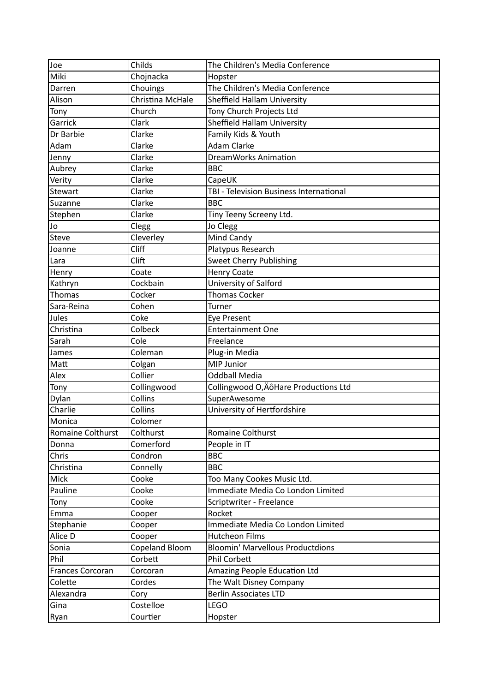| Joe                      | Childs           | The Children's Media Conference         |
|--------------------------|------------------|-----------------------------------------|
| Miki                     | Chojnacka        | Hopster                                 |
| Darren                   | Chouings         | The Children's Media Conference         |
| Alison                   | Christina McHale | Sheffield Hallam University             |
| Tony                     | Church           | Tony Church Projects Ltd                |
| Garrick                  | Clark            | Sheffield Hallam University             |
| Dr Barbie                | Clarke           | Family Kids & Youth                     |
| Adam                     | Clarke           | <b>Adam Clarke</b>                      |
| Jenny                    | Clarke           | <b>DreamWorks Animation</b>             |
| Aubrey                   | Clarke           | <b>BBC</b>                              |
| Verity                   | Clarke           | CapeUK                                  |
| Stewart                  | Clarke           | TBI - Television Business International |
| Suzanne                  | Clarke           | <b>BBC</b>                              |
| Stephen                  | Clarke           | Tiny Teeny Screeny Ltd.                 |
| Jo                       | Clegg            | Jo Clegg                                |
| <b>Steve</b>             | Cleverley        | Mind Candy                              |
| Joanne                   | Cliff            | Platypus Research                       |
| Lara                     | Clift            | <b>Sweet Cherry Publishing</b>          |
| Henry                    | Coate            | <b>Henry Coate</b>                      |
| Kathryn                  | Cockbain         | University of Salford                   |
| Thomas                   | Cocker           | <b>Thomas Cocker</b>                    |
| Sara-Reina               | Cohen            | Turner                                  |
| Jules                    | Coke             | <b>Eye Present</b>                      |
| Christina                | Colbeck          | <b>Entertainment One</b>                |
| Sarah                    | Cole             | Freelance                               |
| James                    | Coleman          | Plug-in Media                           |
| Matt                     | Colgan           | MIP Junior                              |
| Alex                     | Collier          | <b>Oddball Media</b>                    |
| Tony                     | Collingwood      | Collingwood O, Äô Hare Productions Ltd  |
| Dylan                    | Collins          | SuperAwesome                            |
| Charlie                  | Collins          | University of Hertfordshire             |
| Monica                   | Colomer          |                                         |
| <b>Romaine Colthurst</b> | Colthurst        | Romaine Colthurst                       |
| Donna                    | Comerford        | People in IT                            |
| Chris                    | Condron          | <b>BBC</b>                              |
| Christina                | Connelly         | <b>BBC</b>                              |
| Mick                     | Cooke            | Too Many Cookes Music Ltd.              |
| Pauline                  | Cooke            | Immediate Media Co London Limited       |
| Tony                     | Cooke            | Scriptwriter - Freelance                |
| Emma                     | Cooper           | Rocket                                  |
| Stephanie                | Cooper           | Immediate Media Co London Limited       |
| Alice D                  | Cooper           | <b>Hutcheon Films</b>                   |
| Sonia                    | Copeland Bloom   | <b>Bloomin' Marvellous Productdions</b> |
| Phil                     | Corbett          | Phil Corbett                            |
| Frances Corcoran         | Corcoran         | Amazing People Education Ltd            |
| Colette                  | Cordes           | The Walt Disney Company                 |
| Alexandra                | Cory             | <b>Berlin Associates LTD</b>            |
| Gina                     | Costelloe        | <b>LEGO</b>                             |
| Ryan                     | Courtier         | Hopster                                 |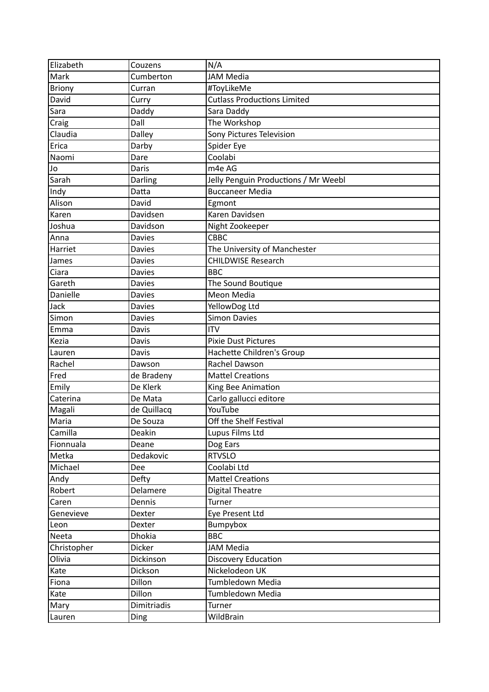| Elizabeth     | Couzens       | N/A                                  |
|---------------|---------------|--------------------------------------|
| Mark          | Cumberton     | <b>JAM Media</b>                     |
| <b>Briony</b> | Curran        | #ToyLikeMe                           |
| David         | Curry         | <b>Cutlass Productions Limited</b>   |
| Sara          | Daddy         | Sara Daddy                           |
| Craig         | Dall          | The Workshop                         |
| Claudia       | Dalley        | Sony Pictures Television             |
| Erica         | Darby         | Spider Eye                           |
| Naomi         | Dare          | Coolabi                              |
| Jo            | Daris         | m4e AG                               |
| Sarah         | Darling       | Jelly Penguin Productions / Mr Weebl |
| Indy          | Datta         | <b>Buccaneer Media</b>               |
| Alison        | David         | Egmont                               |
| Karen         | Davidsen      | Karen Davidsen                       |
| Joshua        | Davidson      | Night Zookeeper                      |
| Anna          | <b>Davies</b> | CBBC                                 |
| Harriet       | <b>Davies</b> | The University of Manchester         |
| James         | <b>Davies</b> | <b>CHILDWISE Research</b>            |
| Ciara         | <b>Davies</b> | <b>BBC</b>                           |
| Gareth        | <b>Davies</b> | The Sound Boutique                   |
| Danielle      | <b>Davies</b> | Meon Media                           |
| Jack          | <b>Davies</b> | YellowDog Ltd                        |
| Simon         | <b>Davies</b> | <b>Simon Davies</b>                  |
| Emma          | Davis         | <b>ITV</b>                           |
| Kezia         | Davis         | <b>Pixie Dust Pictures</b>           |
| Lauren        | Davis         | Hachette Children's Group            |
| Rachel        | Dawson        | Rachel Dawson                        |
| Fred          | de Bradeny    | <b>Mattel Creations</b>              |
| Emily         | De Klerk      | King Bee Animation                   |
| Caterina      | De Mata       | Carlo gallucci editore               |
| Magali        | de Quillacq   | YouTube                              |
| Maria         | De Souza      | Off the Shelf Festival               |
| Camilla       | Deakin        | Lupus Films Ltd                      |
| Fionnuala     | Deane         | Dog Ears                             |
| Metka         | Dedakovic     | <b>RTVSLO</b>                        |
| Michael       | Dee           | Coolabi Ltd                          |
| Andy          | Defty         | <b>Mattel Creations</b>              |
| Robert        | Delamere      | <b>Digital Theatre</b>               |
| Caren         | Dennis        | Turner                               |
| Genevieve     | Dexter        | Eye Present Ltd                      |
| Leon          | Dexter        | Bumpybox                             |
| Neeta         | <b>Dhokia</b> | <b>BBC</b>                           |
| Christopher   | <b>Dicker</b> | <b>JAM Media</b>                     |
| Olivia        | Dickinson     | Discovery Education                  |
| Kate          | Dickson       | Nickelodeon UK                       |
| Fiona         | Dillon        | Tumbledown Media                     |
| Kate          | <b>Dillon</b> | Tumbledown Media                     |
| Mary          | Dimitriadis   | Turner                               |
| Lauren        | Ding          | WildBrain                            |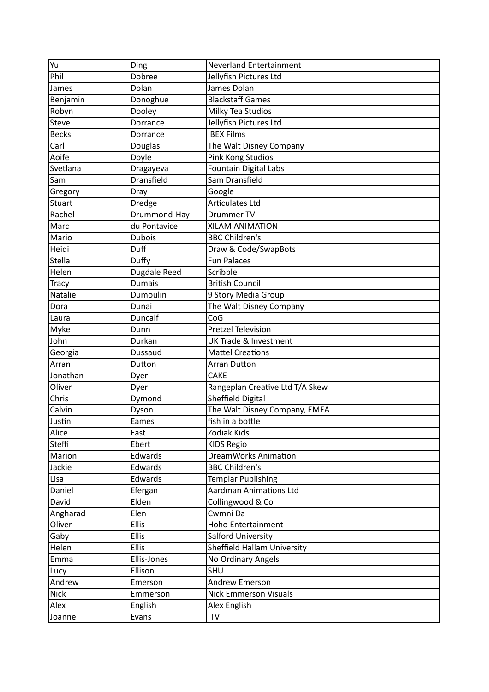| Yu           | Ding          | <b>Neverland Entertainment</b>   |
|--------------|---------------|----------------------------------|
| Phil         | Dobree        | Jellyfish Pictures Ltd           |
| James        | Dolan         | James Dolan                      |
| Benjamin     | Donoghue      | <b>Blackstaff Games</b>          |
| Robyn        | Dooley        | Milky Tea Studios                |
| Steve        | Dorrance      | Jellyfish Pictures Ltd           |
| <b>Becks</b> | Dorrance      | <b>IBEX Films</b>                |
| Carl         | Douglas       | The Walt Disney Company          |
| Aoife        | Doyle         | Pink Kong Studios                |
| Svetlana     | Dragayeva     | <b>Fountain Digital Labs</b>     |
| Sam          | Dransfield    | Sam Dransfield                   |
| Gregory      | Dray          | Google                           |
| Stuart       | Dredge        | Articulates Ltd                  |
| Rachel       | Drummond-Hay  | Drummer TV                       |
| Marc         | du Pontavice  | XILAM ANIMATION                  |
| Mario        | <b>Dubois</b> | <b>BBC Children's</b>            |
| Heidi        | Duff          | Draw & Code/SwapBots             |
| Stella       | Duffy         | <b>Fun Palaces</b>               |
| Helen        | Dugdale Reed  | Scribble                         |
| <b>Tracy</b> | <b>Dumais</b> | <b>British Council</b>           |
| Natalie      | Dumoulin      | 9 Story Media Group              |
| Dora         | Dunai         | The Walt Disney Company          |
| Laura        | Duncalf       | CoG                              |
| Myke         | Dunn          | <b>Pretzel Television</b>        |
| John         | Durkan        | <b>UK Trade &amp; Investment</b> |
| Georgia      | Dussaud       | <b>Mattel Creations</b>          |
| Arran        | Dutton        | <b>Arran Dutton</b>              |
| Jonathan     | Dyer          | <b>CAKE</b>                      |
| Oliver       | Dyer          | Rangeplan Creative Ltd T/A Skew  |
| Chris        | Dymond        | <b>Sheffield Digital</b>         |
| Calvin       | Dyson         | The Walt Disney Company, EMEA    |
| Justin       | Eames         | fish in a bottle                 |
| Alice        | East          | Zodiak Kids                      |
| Steffi       | Ebert         | <b>KIDS Regio</b>                |
| Marion       | Edwards       | <b>DreamWorks Animation</b>      |
| Jackie       | Edwards       | <b>BBC Children's</b>            |
| Lisa         | Edwards       | <b>Templar Publishing</b>        |
| Daniel       | Efergan       | <b>Aardman Animations Ltd</b>    |
| David        | Elden         | Collingwood & Co                 |
| Angharad     | Elen          | Cwmni Da                         |
| Oliver       | <b>Ellis</b>  | Hoho Entertainment               |
| Gaby         | <b>Ellis</b>  | Salford University               |
| Helen        | <b>Ellis</b>  | Sheffield Hallam University      |
| Emma         | Ellis-Jones   | No Ordinary Angels               |
| Lucy         | Ellison       | <b>SHU</b>                       |
| Andrew       | Emerson       | <b>Andrew Emerson</b>            |
| <b>Nick</b>  | Emmerson      | <b>Nick Emmerson Visuals</b>     |
| Alex         | English       | Alex English                     |
| Joanne       | Evans         | <b>ITV</b>                       |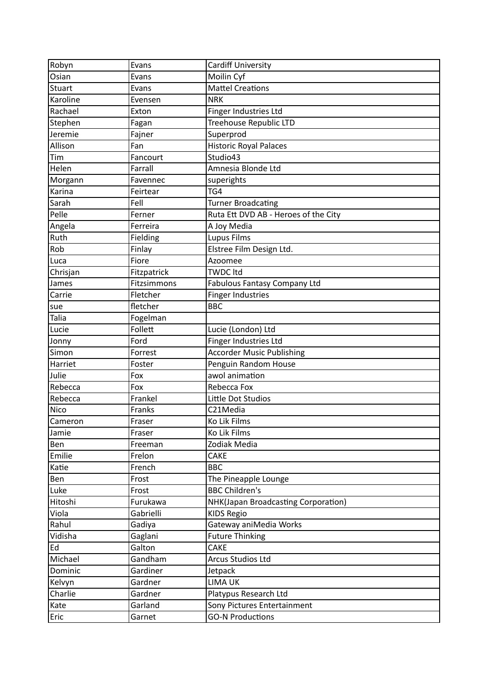| Robyn         | Evans       | Cardiff University                   |
|---------------|-------------|--------------------------------------|
| Osian         | Evans       | Moilin Cyf                           |
| <b>Stuart</b> | Evans       | Mattel Creations                     |
| Karoline      | Evensen     | <b>NRK</b>                           |
| Rachael       | Exton       | Finger Industries Ltd                |
| Stephen       | Fagan       | <b>Treehouse Republic LTD</b>        |
| Jeremie       | Fajner      | Superprod                            |
| Allison       | Fan         | Historic Royal Palaces               |
| Tim           | Fancourt    | Studio43                             |
| Helen         | Farrall     | Amnesia Blonde Ltd                   |
| Morgann       | Favennec    | superights                           |
| Karina        | Feirtear    | TG4                                  |
| Sarah         | Fell        | <b>Turner Broadcating</b>            |
| Pelle         | Ferner      | Ruta Ett DVD AB - Heroes of the City |
| Angela        | Ferreira    | A Joy Media                          |
| Ruth          | Fielding    | <b>Lupus Films</b>                   |
| Rob           | Finlay      | Elstree Film Design Ltd.             |
| Luca          | Fiore       | Azoomee                              |
| Chrisjan      | Fitzpatrick | <b>TWDC Itd</b>                      |
| James         | Fitzsimmons | Fabulous Fantasy Company Ltd         |
| Carrie        | Fletcher    | Finger Industries                    |
| sue           | fletcher    | <b>BBC</b>                           |
| Talia         | Fogelman    |                                      |
| Lucie         | Follett     | Lucie (London) Ltd                   |
| Jonny         | Ford        | Finger Industries Ltd                |
| Simon         | Forrest     | <b>Accorder Music Publishing</b>     |
| Harriet       | Foster      | Penguin Random House                 |
| Julie         | Fox         | awol animation                       |
| Rebecca       | Fox         | Rebecca Fox                          |
| Rebecca       | Frankel     | Little Dot Studios                   |
| <b>Nico</b>   | Franks      | C21Media                             |
| Cameron       | Fraser      | Ko Lik Films                         |
| Jamie         | Fraser      | Ko Lik Films                         |
| Ben           | Freeman     | Zodiak Media                         |
| Emilie        | Frelon      | <b>CAKE</b>                          |
| Katie         | French      | <b>BBC</b>                           |
| Ben           | Frost       | The Pineapple Lounge                 |
| Luke          | Frost       | <b>BBC Children's</b>                |
| Hitoshi       | Furukawa    | NHK(Japan Broadcasting Corporation)  |
| Viola         | Gabrielli   | <b>KIDS Regio</b>                    |
| Rahul         | Gadiya      | Gateway aniMedia Works               |
| Vidisha       | Gaglani     | <b>Future Thinking</b>               |
| Ed            | Galton      | CAKE                                 |
| Michael       | Gandham     | <b>Arcus Studios Ltd</b>             |
| Dominic       | Gardiner    | Jetpack                              |
| Kelvyn        | Gardner     | <b>LIMA UK</b>                       |
| Charlie       | Gardner     | Platypus Research Ltd                |
| Kate          | Garland     | Sony Pictures Entertainment          |
| Eric          | Garnet      | <b>GO-N Productions</b>              |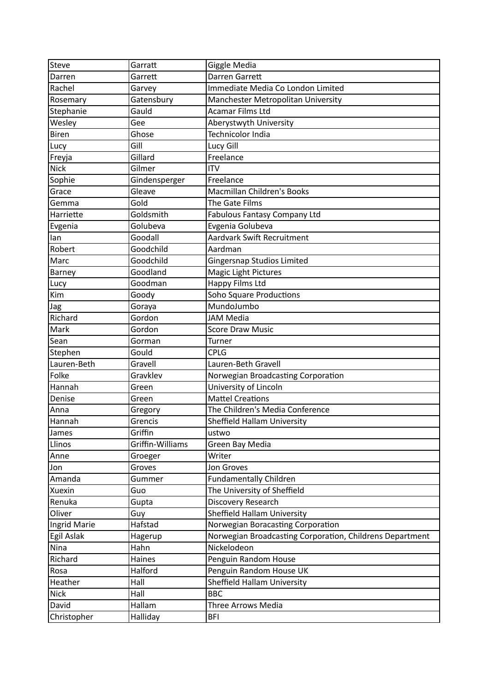| <b>Steve</b> | Garratt          | Giggle Media                                             |
|--------------|------------------|----------------------------------------------------------|
| Darren       | Garrett          | Darren Garrett                                           |
| Rachel       | Garvey           | Immediate Media Co London Limited                        |
| Rosemary     | Gatensbury       | Manchester Metropolitan University                       |
| Stephanie    | Gauld            | <b>Acamar Films Ltd</b>                                  |
| Wesley       | Gee              | Aberystwyth University                                   |
| <b>Biren</b> | Ghose            | <b>Technicolor India</b>                                 |
| Lucy         | Gill             | Lucy Gill                                                |
| Freyja       | Gillard          | Freelance                                                |
| <b>Nick</b>  | Gilmer           | <b>ITV</b>                                               |
| Sophie       | Gindensperger    | Freelance                                                |
| Grace        | Gleave           | Macmillan Children's Books                               |
| Gemma        | Gold             | The Gate Films                                           |
| Harriette    | Goldsmith        | Fabulous Fantasy Company Ltd                             |
| Evgenia      | Golubeva         | Evgenia Golubeva                                         |
| lan          | Goodall          | Aardvark Swift Recruitment                               |
| Robert       | Goodchild        | Aardman                                                  |
| Marc         | Goodchild        | <b>Gingersnap Studios Limited</b>                        |
| Barney       | Goodland         | Magic Light Pictures                                     |
| Lucy         | Goodman          | Happy Films Ltd                                          |
| Kim          | Goody            | <b>Soho Square Productions</b>                           |
| Jag          | Goraya           | MundoJumbo                                               |
| Richard      | Gordon           | <b>JAM Media</b>                                         |
| Mark         | Gordon           | <b>Score Draw Music</b>                                  |
| Sean         | Gorman           | Turner                                                   |
| Stephen      | Gould            | <b>CPLG</b>                                              |
| Lauren-Beth  | Gravell          | Lauren-Beth Gravell                                      |
| Folke        | Gravklev         | Norwegian Broadcasting Corporation                       |
| Hannah       | Green            | University of Lincoln                                    |
| Denise       | Green            | <b>Mattel Creations</b>                                  |
| Anna         | Gregory          | The Children's Media Conference                          |
| Hannah       | Grencis          | Sheffield Hallam University                              |
| James        | Griffin          | ustwo                                                    |
| Llinos       | Griffin-Williams | Green Bay Media                                          |
| Anne         | Groeger          | Writer                                                   |
| Jon          | Groves           | Jon Groves                                               |
| Amanda       | Gummer           | <b>Fundamentally Children</b>                            |
| Xuexin       | Guo              | The University of Sheffield                              |
| Renuka       | Gupta            | Discovery Research                                       |
| Oliver       | Guy              | Sheffield Hallam University                              |
| Ingrid Marie | Hafstad          | Norwegian Boracasting Corporation                        |
| Egil Aslak   | Hagerup          | Norwegian Broadcasting Corporation, Childrens Department |
| Nina         | Hahn             | Nickelodeon                                              |
| Richard      | Haines           | Penguin Random House                                     |
| Rosa         | Halford          | Penguin Random House UK                                  |
| Heather      | Hall             | Sheffield Hallam University                              |
| <b>Nick</b>  | Hall             | <b>BBC</b>                                               |
| David        | Hallam           | Three Arrows Media                                       |
| Christopher  | Halliday         | <b>BFI</b>                                               |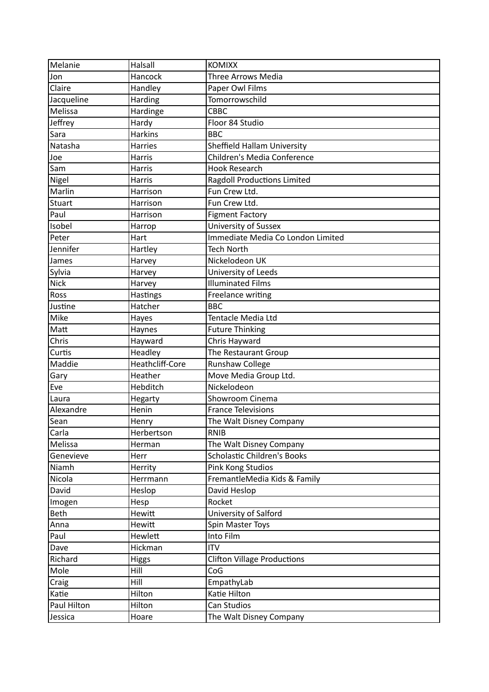| Melanie       | Halsall         | <b>KOMIXX</b>                      |
|---------------|-----------------|------------------------------------|
| Jon           | Hancock         | Three Arrows Media                 |
| Claire        | Handley         | Paper Owl Films                    |
| Jacqueline    | Harding         | Tomorrowschild                     |
| Melissa       | Hardinge        | <b>CBBC</b>                        |
| Jeffrey       | Hardy           | Floor 84 Studio                    |
| Sara          | <b>Harkins</b>  | <b>BBC</b>                         |
| Natasha       | <b>Harries</b>  | Sheffield Hallam University        |
| Joe           | <b>Harris</b>   | Children's Media Conference        |
| Sam           | <b>Harris</b>   | <b>Hook Research</b>               |
| Nigel         | Harris          | <b>Ragdoll Productions Limited</b> |
| Marlin        | Harrison        | Fun Crew Ltd.                      |
| <b>Stuart</b> | Harrison        | Fun Crew Ltd.                      |
| Paul          | Harrison        | <b>Figment Factory</b>             |
| Isobel        | Harrop          | University of Sussex               |
| Peter         | Hart            | Immediate Media Co London Limited  |
| Jennifer      | Hartley         | <b>Tech North</b>                  |
| James         | Harvey          | Nickelodeon UK                     |
| Sylvia        | Harvey          | University of Leeds                |
| <b>Nick</b>   | Harvey          | <b>Illuminated Films</b>           |
| Ross          | <b>Hastings</b> | Freelance writing                  |
| Justine       | Hatcher         | <b>BBC</b>                         |
| Mike          | Hayes           | Tentacle Media Ltd                 |
| Matt          | Haynes          | <b>Future Thinking</b>             |
| Chris         | Hayward         | Chris Hayward                      |
| Curtis        | Headley         | The Restaurant Group               |
| Maddie        | Heathcliff-Core | <b>Runshaw College</b>             |
| Gary          | Heather         | Move Media Group Ltd.              |
| Eve           | Hebditch        | Nickelodeon                        |
| Laura         | Hegarty         | Showroom Cinema                    |
| Alexandre     | Henin           | <b>France Televisions</b>          |
| Sean          | Henry           | The Walt Disney Company            |
| Carla         | Herbertson      | <b>RNIB</b>                        |
| Melissa       | Herman          | The Walt Disney Company            |
| Genevieve     | Herr            | <b>Scholastic Children's Books</b> |
| Niamh         | Herrity         | Pink Kong Studios                  |
| Nicola        | Herrmann        | FremantleMedia Kids & Family       |
| David         | Heslop          | David Heslop                       |
| Imogen        | Hesp            | Rocket                             |
| <b>Beth</b>   | Hewitt          | University of Salford              |
| Anna          | Hewitt          | Spin Master Toys                   |
| Paul          | Hewlett         | Into Film                          |
| Dave          | Hickman         | <b>ITV</b>                         |
| Richard       | <b>Higgs</b>    | <b>Clifton Village Productions</b> |
| Mole          | Hill            | CoG                                |
| Craig         | Hill            | EmpathyLab                         |
| Katie         | Hilton          | Katie Hilton                       |
| Paul Hilton   | Hilton          | Can Studios                        |
| Jessica       | Hoare           | The Walt Disney Company            |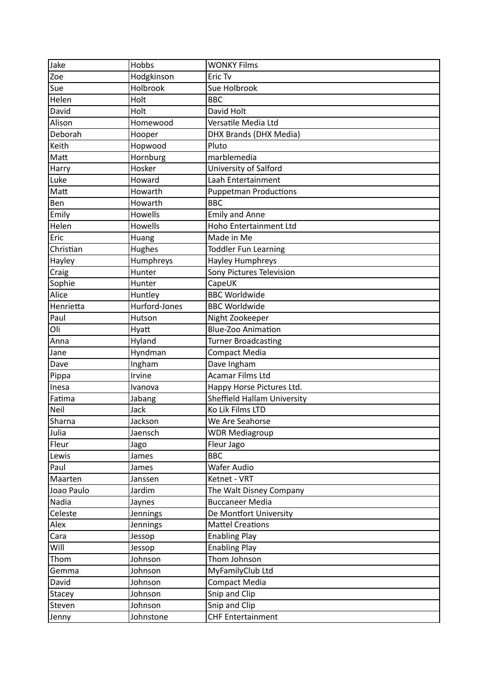| Jake          | Hobbs         | <b>WONKY Films</b>           |
|---------------|---------------|------------------------------|
| Zoe           | Hodgkinson    | Eric Tv                      |
| Sue           | Holbrook      | Sue Holbrook                 |
| Helen         | Holt          | <b>BBC</b>                   |
| David         | Holt          | David Holt                   |
| Alison        | Homewood      | Versatile Media Ltd          |
| Deborah       | Hooper        | DHX Brands (DHX Media)       |
| Keith         | Hopwood       | Pluto                        |
| Matt          | Hornburg      | marblemedia                  |
| Harry         | Hosker        | University of Salford        |
| Luke          | Howard        | Laah Entertainment           |
| Matt          | Howarth       | <b>Puppetman Productions</b> |
| Ben           | Howarth       | <b>BBC</b>                   |
| Emily         | Howells       | <b>Emily and Anne</b>        |
| Helen         | Howells       | Hoho Entertainment Ltd       |
| Eric          | Huang         | Made in Me                   |
| Christian     | Hughes        | <b>Toddler Fun Learning</b>  |
| Hayley        | Humphreys     | Hayley Humphreys             |
| Craig         | Hunter        | Sony Pictures Television     |
| Sophie        | Hunter        | CapeUK                       |
| Alice         | Huntley       | <b>BBC Worldwide</b>         |
| Henrietta     | Hurford-Jones | <b>BBC Worldwide</b>         |
| Paul          | Hutson        | Night Zookeeper              |
| Oli           | Hyatt         | <b>Blue-Zoo Animation</b>    |
| Anna          | Hyland        | <b>Turner Broadcasting</b>   |
| Jane          | Hyndman       | Compact Media                |
| Dave          | Ingham        | Dave Ingham                  |
| Pippa         | Irvine        | Acamar Films Ltd             |
| Inesa         | Ivanova       | Happy Horse Pictures Ltd.    |
| Fatima        | Jabang        | Sheffield Hallam University  |
| Neil          | Jack          | Ko Lik Films LTD             |
| Sharna        | Jackson       | We Are Seahorse              |
| Julia         | Jaensch       | <b>WDR Mediagroup</b>        |
| Fleur         | Jago          | Fleur Jago                   |
| Lewis         | James         | <b>BBC</b>                   |
| Paul          | James         | Wafer Audio                  |
| Maarten       | Janssen       | Ketnet - VRT                 |
| Joao Paulo    | Jardim        | The Walt Disney Company      |
| Nadia         | Jaynes        | <b>Buccaneer Media</b>       |
| Celeste       | Jennings      | De Montfort University       |
| Alex          | Jennings      | <b>Mattel Creations</b>      |
| Cara          | Jessop        | <b>Enabling Play</b>         |
| Will          | Jessop        | <b>Enabling Play</b>         |
| Thom          | Johnson       | Thom Johnson                 |
| Gemma         | Johnson       | MyFamilyClub Ltd             |
| David         | Johnson       | Compact Media                |
| <b>Stacey</b> | Johnson       | Snip and Clip                |
| Steven        | Johnson       | Snip and Clip                |
| Jenny         | Johnstone     | CHF Entertainment            |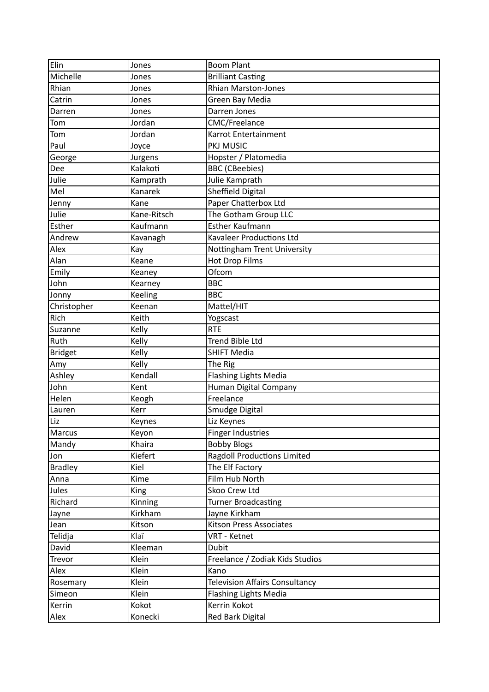| Elin           | Jones       | <b>Boom Plant</b>                     |
|----------------|-------------|---------------------------------------|
| Michelle       | Jones       | <b>Brilliant Casting</b>              |
| Rhian          | Jones       | Rhian Marston-Jones                   |
| Catrin         | Jones       | Green Bay Media                       |
| Darren         | Jones       | Darren Jones                          |
| Tom            | Jordan      | <b>CMC/Freelance</b>                  |
| Tom            | Jordan      | Karrot Entertainment                  |
| Paul           | Joyce       | PKJ MUSIC                             |
| George         | Jurgens     | Hopster / Platomedia                  |
| Dee            | Kalakoti    | <b>BBC</b> (CBeebies)                 |
| Julie          | Kamprath    | Julie Kamprath                        |
| Mel            | Kanarek     | Sheffield Digital                     |
| Jenny          | Kane        | Paper Chatterbox Ltd                  |
| Julie          | Kane-Ritsch | The Gotham Group LLC                  |
| Esther         | Kaufmann    | <b>Esther Kaufmann</b>                |
| Andrew         | Kavanagh    | <b>Kavaleer Productions Ltd</b>       |
| Alex           | Kay         | Nottingham Trent University           |
| Alan           | Keane       | <b>Hot Drop Films</b>                 |
| Emily          | Keaney      | Ofcom                                 |
| John           | Kearney     | <b>BBC</b>                            |
| Jonny          | Keeling     | <b>BBC</b>                            |
| Christopher    | Keenan      | Mattel/HIT                            |
| Rich           | Keith       | Yogscast                              |
| Suzanne        | Kelly       | <b>RTE</b>                            |
| Ruth           | Kelly       | <b>Trend Bible Ltd</b>                |
| <b>Bridget</b> | Kelly       | <b>SHIFT Media</b>                    |
| Amy            | Kelly       | The Rig                               |
| Ashley         | Kendall     | <b>Flashing Lights Media</b>          |
| John           | Kent        | Human Digital Company                 |
| Helen          | Keogh       | Freelance                             |
| Lauren         | Kerr        | Smudge Digital                        |
| Liz            | Keynes      | Liz Keynes                            |
| Marcus         | Keyon       | <b>Finger Industries</b>              |
| Mandy          | Khaira      | <b>Bobby Blogs</b>                    |
| Jon            | Kiefert     | <b>Ragdoll Productions Limited</b>    |
| <b>Bradley</b> | Kiel        | The Elf Factory                       |
| Anna           | Kime        | Film Hub North                        |
| Jules          | King        | Skoo Crew Ltd                         |
| Richard        | Kinning     | <b>Turner Broadcasting</b>            |
| Jayne          | Kirkham     | Jayne Kirkham                         |
| Jean           | Kitson      | <b>Kitson Press Associates</b>        |
| Telidja        | Klaï        | VRT - Ketnet                          |
| David          | Kleeman     | <b>Dubit</b>                          |
| Trevor         | Klein       | Freelance / Zodiak Kids Studios       |
| Alex           | Klein       | Kano                                  |
| Rosemary       | Klein       | <b>Television Affairs Consultancy</b> |
| Simeon         | Klein       | <b>Flashing Lights Media</b>          |
| Kerrin         | Kokot       | Kerrin Kokot                          |
| Alex           | Konecki     | <b>Red Bark Digital</b>               |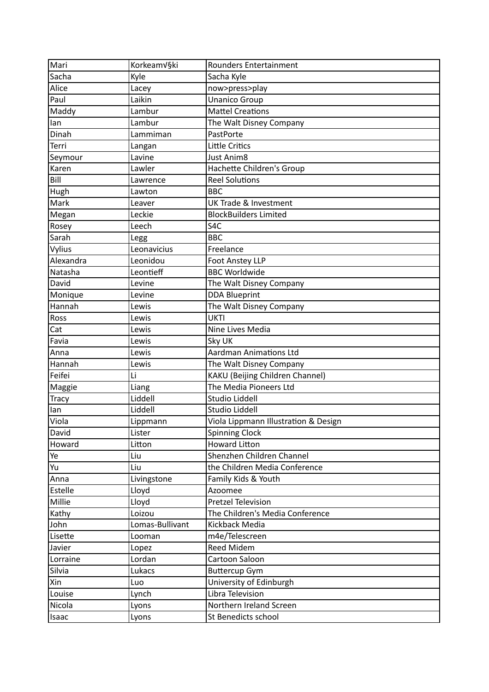| Mari         | Korkeam√§ki     | Rounders Entertainment               |
|--------------|-----------------|--------------------------------------|
| Sacha        | Kyle            | Sacha Kyle                           |
| Alice        | Lacey           | now>press>play                       |
| Paul         | Laikin          | <b>Unanico Group</b>                 |
| Maddy        | Lambur          | <b>Mattel Creations</b>              |
| lan          | Lambur          | The Walt Disney Company              |
| Dinah        | Lammiman        | PastPorte                            |
| Terri        | Langan          | Little Critics                       |
| Seymour      | Lavine          | Just Anim8                           |
| Karen        | Lawler          | Hachette Children's Group            |
| Bill         | Lawrence        | <b>Reel Solutions</b>                |
| Hugh         | Lawton          | <b>BBC</b>                           |
| Mark         | Leaver          | <b>UK Trade &amp; Investment</b>     |
| Megan        | Leckie          | <b>BlockBuilders Limited</b>         |
| Rosey        | Leech           | S <sub>4</sub> C                     |
| Sarah        | Legg            | <b>BBC</b>                           |
| Vylius       | Leonavicius     | Freelance                            |
| Alexandra    | Leonidou        | <b>Foot Anstey LLP</b>               |
| Natasha      | Leontieff       | <b>BBC Worldwide</b>                 |
| David        | Levine          | The Walt Disney Company              |
| Monique      | Levine          | <b>DDA Blueprint</b>                 |
| Hannah       | Lewis           | The Walt Disney Company              |
| Ross         | Lewis           | <b>UKTI</b>                          |
| Cat          | Lewis           | Nine Lives Media                     |
| Favia        | Lewis           | Sky UK                               |
| Anna         | Lewis           | Aardman Animations Ltd               |
| Hannah       | Lewis           | The Walt Disney Company              |
| Feifei       | Li              | KAKU (Beijing Children Channel)      |
| Maggie       | Liang           | The Media Pioneers Ltd               |
| <b>Tracy</b> | Liddell         | <b>Studio Liddell</b>                |
| lan          | Liddell         | Studio Liddell                       |
| Viola        | Lippmann        | Viola Lippmann Illustration & Design |
| David        | Lister          | <b>Spinning Clock</b>                |
| Howard       | Litton          | <b>Howard Litton</b>                 |
| Ye           | Liu             | Shenzhen Children Channel            |
| Yu           | Liu             | the Children Media Conference        |
| Anna         | Livingstone     | Family Kids & Youth                  |
| Estelle      | Lloyd           | Azoomee                              |
| Millie       | Lloyd           | <b>Pretzel Television</b>            |
| Kathy        | Loizou          | The Children's Media Conference      |
| John         | Lomas-Bullivant | Kickback Media                       |
| Lisette      | Looman          | m4e/Telescreen                       |
| Javier       | Lopez           | <b>Reed Midem</b>                    |
| Lorraine     | Lordan          | Cartoon Saloon                       |
| Silvia       | Lukacs          | <b>Buttercup Gym</b>                 |
| Xin          | Luo             | University of Edinburgh              |
| Louise       | Lynch           | Libra Television                     |
| Nicola       | Lyons           | Northern Ireland Screen              |
| Isaac        | Lyons           | St Benedicts school                  |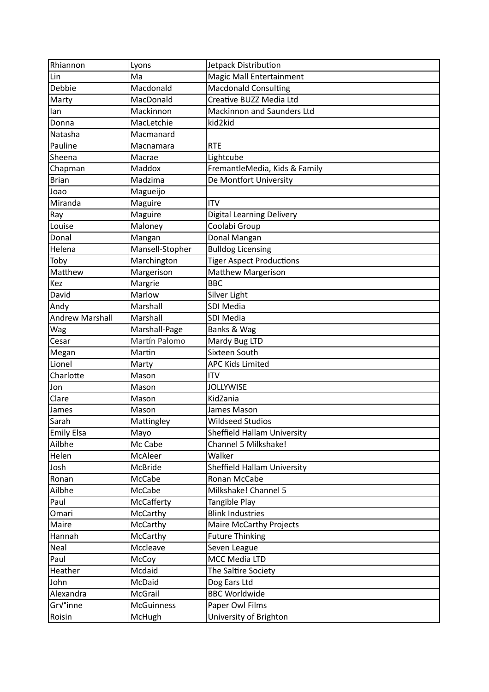| Rhiannon               | Lyons             | Jetpack Distribution              |
|------------------------|-------------------|-----------------------------------|
| Lin                    | Ma                | Magic Mall Entertainment          |
| Debbie                 | Macdonald         | <b>Macdonald Consulting</b>       |
| Marty                  | MacDonald         | Creative BUZZ Media Ltd           |
| lan                    | Mackinnon         | <b>Mackinnon and Saunders Ltd</b> |
| Donna                  | MacLetchie        | kid2kid                           |
| Natasha                | Macmanard         |                                   |
| Pauline                | Macnamara         | <b>RTE</b>                        |
| Sheena                 | Macrae            | Lightcube                         |
| Chapman                | Maddox            | FremantleMedia, Kids & Family     |
| <b>Brian</b>           | Madzima           | De Montfort University            |
| Joao                   | Magueijo          |                                   |
| Miranda                | Maguire           | <b>ITV</b>                        |
| Ray                    | Maguire           | <b>Digital Learning Delivery</b>  |
| Louise                 | Maloney           | Coolabi Group                     |
| Donal                  | Mangan            | Donal Mangan                      |
| Helena                 | Mansell-Stopher   | <b>Bulldog Licensing</b>          |
| Toby                   | Marchington       | <b>Tiger Aspect Productions</b>   |
| Matthew                | Margerison        | <b>Matthew Margerison</b>         |
| Kez                    | Margrie           | <b>BBC</b>                        |
| David                  | Marlow            | Silver Light                      |
| Andy                   | Marshall          | SDI Media                         |
| <b>Andrew Marshall</b> | Marshall          | <b>SDI Media</b>                  |
| Wag                    | Marshall-Page     | Banks & Wag                       |
| Cesar                  | Martín Palomo     | Mardy Bug LTD                     |
| Megan                  | Martin            | Sixteen South                     |
| Lionel                 | Marty             | <b>APC Kids Limited</b>           |
| Charlotte              | Mason             | <b>ITV</b>                        |
| Jon                    | Mason             | <b>JOLLYWISE</b>                  |
| Clare                  | Mason             | KidZania                          |
| James                  | Mason             | James Mason                       |
| Sarah                  | Mattingley        | <b>Wildseed Studios</b>           |
| <b>Emily Elsa</b>      | Mayo              | Sheffield Hallam University       |
| Ailbhe                 | Mc Cabe           | Channel 5 Milkshake!              |
| Helen                  | McAleer           | Walker                            |
| Josh                   | McBride           | Sheffield Hallam University       |
| Ronan                  | McCabe            | Ronan McCabe                      |
| Ailbhe                 | McCabe            | Milkshake! Channel 5              |
| Paul                   | McCafferty        | Tangible Play                     |
| Omari                  | McCarthy          | <b>Blink Industries</b>           |
| Maire                  | McCarthy          | <b>Maire McCarthy Projects</b>    |
| Hannah                 | McCarthy          | <b>Future Thinking</b>            |
| Neal                   | Mccleave          | Seven League                      |
| Paul                   | McCoy             | MCC Media LTD                     |
| Heather                | Mcdaid            | The Saltire Society               |
| John                   | McDaid            | Dog Ears Ltd                      |
| Alexandra              | McGrail           | <b>BBC Worldwide</b>              |
| Grv°inne               | <b>McGuinness</b> | Paper Owl Films                   |
| Roisin                 | McHugh            | University of Brighton            |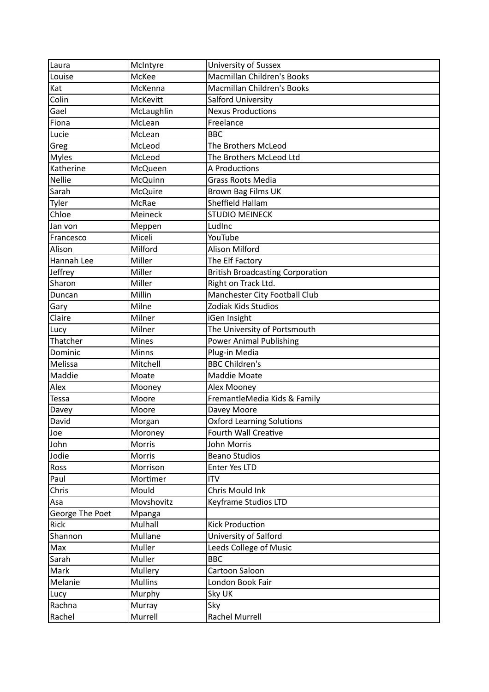| Laura           | McIntyre       | University of Sussex                    |
|-----------------|----------------|-----------------------------------------|
| Louise          | McKee          | Macmillan Children's Books              |
| Kat             | McKenna        | <b>Macmillan Children's Books</b>       |
| Colin           | McKevitt       | Salford University                      |
| Gael            | McLaughlin     | <b>Nexus Productions</b>                |
| Fiona           | McLean         | Freelance                               |
| Lucie           | McLean         | <b>BBC</b>                              |
| Greg            | McLeod         | The Brothers McLeod                     |
| <b>Myles</b>    | McLeod         | The Brothers McLeod Ltd                 |
| Katherine       | McQueen        | A Productions                           |
| <b>Nellie</b>   | <b>McQuinn</b> | Grass Roots Media                       |
| Sarah           | <b>McQuire</b> | Brown Bag Films UK                      |
| Tyler           | <b>McRae</b>   | Sheffield Hallam                        |
| Chloe           | Meineck        | <b>STUDIO MEINECK</b>                   |
| Jan von         | Meppen         | LudInc                                  |
| Francesco       | Miceli         | YouTube                                 |
| Alison          | Milford        | Alison Milford                          |
| Hannah Lee      | Miller         | The Elf Factory                         |
| Jeffrey         | Miller         | <b>British Broadcasting Corporation</b> |
| Sharon          | Miller         | Right on Track Ltd.                     |
| Duncan          | Millin         | Manchester City Football Club           |
| Gary            | Milne          | Zodiak Kids Studios                     |
| Claire          | Milner         | iGen Insight                            |
| Lucy            | Milner         | The University of Portsmouth            |
| Thatcher        | Mines          | <b>Power Animal Publishing</b>          |
| Dominic         | Minns          | Plug-in Media                           |
| Melissa         | Mitchell       | <b>BBC Children's</b>                   |
| Maddie          | Moate          | Maddie Moate                            |
| Alex            | Mooney         | Alex Mooney                             |
| <b>Tessa</b>    | Moore          | FremantleMedia Kids & Family            |
| Davey           | Moore          | Davey Moore                             |
| David           | Morgan         | <b>Oxford Learning Solutions</b>        |
| Joe             | Moroney        | Fourth Wall Creative                    |
| John            | Morris         | John Morris                             |
| Jodie           | Morris         | <b>Beano Studios</b>                    |
| Ross            | Morrison       | Enter Yes LTD                           |
| Paul            | Mortimer       | <b>ITV</b>                              |
| Chris           | Mould          | Chris Mould Ink                         |
| Asa             | Movshovitz     | Keyframe Studios LTD                    |
| George The Poet | Mpanga         |                                         |
| Rick            | Mulhall        | <b>Kick Production</b>                  |
| Shannon         | Mullane        | University of Salford                   |
| Max             | Muller         | Leeds College of Music                  |
| Sarah           | Muller         | <b>BBC</b>                              |
| Mark            | Mullery        | Cartoon Saloon                          |
| Melanie         | <b>Mullins</b> | London Book Fair                        |
| Lucy            | Murphy         | Sky UK                                  |
| Rachna          | Murray         | Sky                                     |
| Rachel          | Murrell        | <b>Rachel Murrell</b>                   |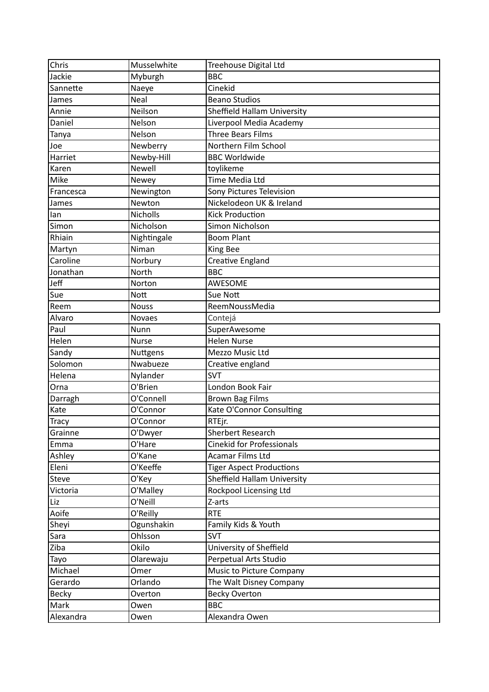| Chris        | Musselwhite   | Treehouse Digital Ltd              |
|--------------|---------------|------------------------------------|
| Jackie       | Myburgh       | <b>BBC</b>                         |
| Sannette     | Naeye         | Cinekid                            |
| James        | Neal          | <b>Beano Studios</b>               |
| Annie        | Neilson       | <b>Sheffield Hallam University</b> |
| Daniel       | Nelson        | Liverpool Media Academy            |
| Tanya        | Nelson        | <b>Three Bears Films</b>           |
| Joe          | Newberry      | Northern Film School               |
| Harriet      | Newby-Hill    | <b>BBC Worldwide</b>               |
| Karen        | <b>Newell</b> | toylikeme                          |
| Mike         | Newey         | Time Media Ltd                     |
| Francesca    | Newington     | Sony Pictures Television           |
| James        | Newton        | Nickelodeon UK & Ireland           |
| lan          | Nicholls      | <b>Kick Production</b>             |
| Simon        | Nicholson     | Simon Nicholson                    |
| Rhiain       | Nightingale   | <b>Boom Plant</b>                  |
| Martyn       | Niman         | King Bee                           |
| Caroline     | Norbury       | <b>Creative England</b>            |
| Jonathan     | North         | <b>BBC</b>                         |
| Jeff         | Norton        | AWESOME                            |
| Sue          | <b>Nott</b>   | Sue Nott                           |
| Reem         | <b>Nouss</b>  | ReemNoussMedia                     |
| Alvaro       | <b>Novaes</b> | Contejá                            |
| Paul         | Nunn          | SuperAwesome                       |
| Helen        | <b>Nurse</b>  | <b>Helen Nurse</b>                 |
| Sandy        | Nuttgens      | Mezzo Music Ltd                    |
| Solomon      | Nwabueze      | Creative england                   |
| Helena       | Nylander      | <b>SVT</b>                         |
| Orna         | O'Brien       | London Book Fair                   |
| Darragh      | O'Connell     | <b>Brown Bag Films</b>             |
| Kate         | O'Connor      | Kate O'Connor Consulting           |
| <b>Tracy</b> | O'Connor      | RTEjr.                             |
| Grainne      | O'Dwyer       | Sherbert Research                  |
| Emma         | O'Hare        | <b>Cinekid for Professionals</b>   |
| Ashley       | O'Kane        | Acamar Films Ltd                   |
| Eleni        | O'Keeffe      | <b>Tiger Aspect Productions</b>    |
| Steve        | O'Key         | <b>Sheffield Hallam University</b> |
| Victoria     | O'Malley      | Rockpool Licensing Ltd             |
| Liz          | O'Neill       | Z-arts                             |
| Aoife        | O'Reilly      | <b>RTE</b>                         |
| Sheyi        | Ogunshakin    | Family Kids & Youth                |
| Sara         | Ohlsson       | <b>SVT</b>                         |
| Ziba         | Okilo         | University of Sheffield            |
| Tayo         | Olarewaju     | Perpetual Arts Studio              |
| Michael      | Omer          | Music to Picture Company           |
| Gerardo      | Orlando       | The Walt Disney Company            |
| <b>Becky</b> | Overton       | <b>Becky Overton</b>               |
| Mark         | Owen          | <b>BBC</b>                         |
| Alexandra    | Owen          | Alexandra Owen                     |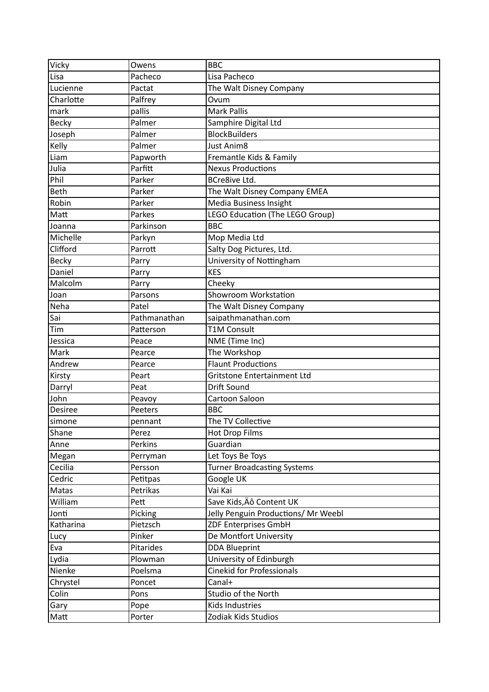| Vicky          | Owens        | <b>BBC</b>                          |
|----------------|--------------|-------------------------------------|
| Lisa           | Pacheco      | Lisa Pacheco                        |
| Lucienne       | Pactat       | The Walt Disney Company             |
| Charlotte      | Palfrey      | Ovum                                |
| mark           | pallis       | <b>Mark Pallis</b>                  |
| Becky          | Palmer       | Samphire Digital Ltd                |
| Joseph         | Palmer       | <b>BlockBuilders</b>                |
| Kelly          | Palmer       | <b>Just Anim8</b>                   |
| Liam           | Papworth     | Fremantle Kids & Family             |
| Julia          | Parfitt      | <b>Nexus Productions</b>            |
| Phil           | Parker       | <b>BCre8ive Ltd.</b>                |
| <b>Beth</b>    | Parker       | The Walt Disney Company EMEA        |
| Robin          | Parker       | Media Business Insight              |
| Matt           | Parkes       | LEGO Education (The LEGO Group)     |
| Joanna         | Parkinson    | <b>BBC</b>                          |
| Michelle       | Parkyn       | Mop Media Ltd                       |
| Clifford       | Parrott      | Salty Dog Pictures, Ltd.            |
| Becky          | Parry        | University of Nottingham            |
| Daniel         | Parry        | <b>KES</b>                          |
| Malcolm        | Parry        | Cheeky                              |
| Joan           | Parsons      | Showroom Workstation                |
| Neha           | Patel        | The Walt Disney Company             |
| Sai            | Pathmanathan | saipathmanathan.com                 |
| Tim            | Patterson    | <b>T1M Consult</b>                  |
| Jessica        | Peace        | NME (Time Inc)                      |
| Mark           | Pearce       | The Workshop                        |
| Andrew         | Pearce       | <b>Flaunt Productions</b>           |
| Kirsty         | Peart        | Gritstone Entertainment Ltd         |
| Darryl         | Peat         | Drift Sound                         |
| John           | Peavoy       | Cartoon Saloon                      |
| <b>Desiree</b> | Peeters      | <b>BBC</b>                          |
| simone         | pennant      | The TV Collective                   |
| Shane          | Perez        | <b>Hot Drop Films</b>               |
| Anne           | Perkins      | Guardian                            |
| Megan          | Perryman     | Let Toys Be Toys                    |
| Cecilia        | Persson      | <b>Turner Broadcasting Systems</b>  |
| Cedric         | Petitpas     | Google UK                           |
| Matas          | Petrikas     | Vai Kai                             |
| William        | Pett         | Save Kids, Äô Content UK            |
| Jonti          | Picking      | Jelly Penguin Productions/ Mr Weebl |
| Katharina      | Pietzsch     | <b>ZDF Enterprises GmbH</b>         |
| Lucy           | Pinker       | De Montfort University              |
| Eva            | Pitarides    | <b>DDA Blueprint</b>                |
| Lydia          | Plowman      | University of Edinburgh             |
| Nienke         | Poelsma      | <b>Cinekid for Professionals</b>    |
| Chrystel       | Poncet       | Canal+                              |
| Colin          | Pons         | Studio of the North                 |
| Gary           | Pope         | Kids Industries                     |
| Matt           | Porter       | Zodiak Kids Studios                 |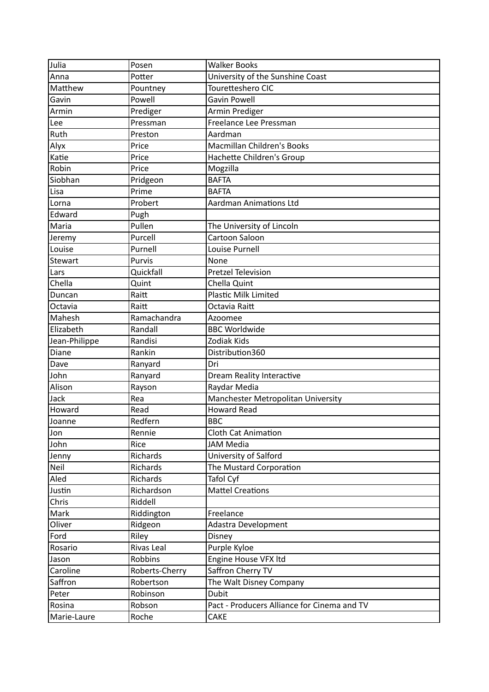| Julia          | Posen          | <b>Walker Books</b>                         |
|----------------|----------------|---------------------------------------------|
| Anna           | Potter         | University of the Sunshine Coast            |
| Matthew        | Pountney       | Touretteshero CIC                           |
| Gavin          | Powell         | Gavin Powell                                |
| Armin          | Prediger       | Armin Prediger                              |
| Lee            | Pressman       | Freelance Lee Pressman                      |
| Ruth           | Preston        | Aardman                                     |
| Alyx           | Price          | <b>Macmillan Children's Books</b>           |
| Katie          | Price          | Hachette Children's Group                   |
| Robin          | Price          | Mogzilla                                    |
| Siobhan        | Pridgeon       | <b>BAFTA</b>                                |
| Lisa           | Prime          | <b>BAFTA</b>                                |
| Lorna          | Probert        | <b>Aardman Animations Ltd</b>               |
| Edward         | Pugh           |                                             |
| Maria          | Pullen         | The University of Lincoln                   |
| Jeremy         | Purcell        | Cartoon Saloon                              |
| Louise         | Purnell        | Louise Purnell                              |
| <b>Stewart</b> | Purvis         | None                                        |
| Lars           | Quickfall      | <b>Pretzel Television</b>                   |
| Chella         | Quint          | Chella Quint                                |
| Duncan         | Raitt          | <b>Plastic Milk Limited</b>                 |
| Octavia        | Raitt          | Octavia Raitt                               |
| Mahesh         | Ramachandra    | Azoomee                                     |
| Elizabeth      | Randall        | <b>BBC Worldwide</b>                        |
| Jean-Philippe  | Randisi        | Zodiak Kids                                 |
| Diane          | Rankin         | Distribution360                             |
| Dave           | Ranyard        | Dri                                         |
| John           | Ranyard        | Dream Reality Interactive                   |
| Alison         | Rayson         | Raydar Media                                |
| Jack           | Rea            | Manchester Metropolitan University          |
| Howard         | Read           | <b>Howard Read</b>                          |
| Joanne         | Redfern        | <b>BBC</b>                                  |
| Jon            | Rennie         | <b>Cloth Cat Animation</b>                  |
| John           | Rice           | JAM Media                                   |
| Jenny          | Richards       | University of Salford                       |
| Neil           | Richards       | The Mustard Corporation                     |
| Aled           | Richards       | Tafol Cyf                                   |
| Justin         | Richardson     | <b>Mattel Creations</b>                     |
| Chris          | Riddell        |                                             |
| Mark           | Riddington     | Freelance                                   |
| Oliver         | Ridgeon        | <b>Adastra Development</b>                  |
| Ford           | Riley          | Disney                                      |
| Rosario        | Rivas Leal     | Purple Kyloe                                |
| Jason          | Robbins        | Engine House VFX Itd                        |
| Caroline       | Roberts-Cherry | Saffron Cherry TV                           |
| Saffron        | Robertson      | The Walt Disney Company                     |
| Peter          | Robinson       | <b>Dubit</b>                                |
| Rosina         | Robson         | Pact - Producers Alliance for Cinema and TV |
| Marie-Laure    | Roche          | CAKE                                        |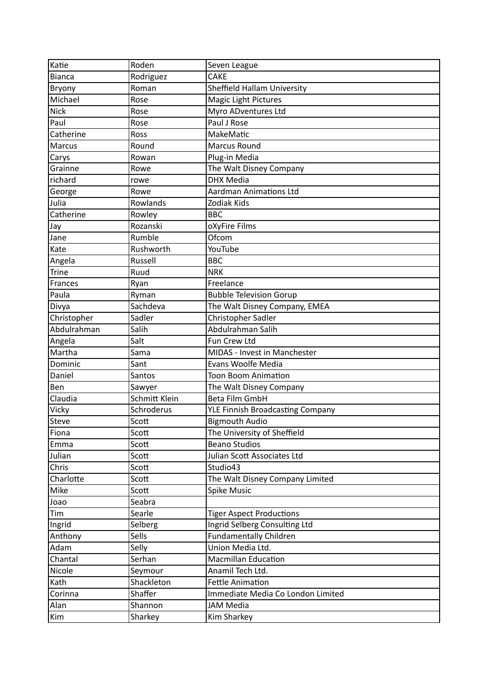| Katie         | Roden         | Seven League                       |
|---------------|---------------|------------------------------------|
| <b>Bianca</b> | Rodriguez     | <b>CAKE</b>                        |
| Bryony        | Roman         | <b>Sheffield Hallam University</b> |
| Michael       | Rose          | <b>Magic Light Pictures</b>        |
| <b>Nick</b>   | Rose          | Myro ADventures Ltd                |
| Paul          | Rose          | Paul J Rose                        |
| Catherine     | Ross          | MakeMatic                          |
| Marcus        | Round         | <b>Marcus Round</b>                |
| Carys         | Rowan         | Plug-in Media                      |
| Grainne       | Rowe          | The Walt Disney Company            |
| richard       | rowe          | <b>DHX Media</b>                   |
| George        | Rowe          | <b>Aardman Animations Ltd</b>      |
| Julia         | Rowlands      | Zodiak Kids                        |
| Catherine     | Rowley        | <b>BBC</b>                         |
| Jay           | Rozanski      | oXyFire Films                      |
| Jane          | Rumble        | Ofcom                              |
| Kate          | Rushworth     | YouTube                            |
| Angela        | Russell       | <b>BBC</b>                         |
| <b>Trine</b>  | Ruud          | <b>NRK</b>                         |
| Frances       | Ryan          | Freelance                          |
| Paula         | Ryman         | <b>Bubble Television Gorup</b>     |
| Divya         | Sachdeva      | The Walt Disney Company, EMEA      |
| Christopher   | Sadler        | Christopher Sadler                 |
| Abdulrahman   | Salih         | Abdulrahman Salih                  |
| Angela        | Salt          | Fun Crew Ltd                       |
| Martha        | Sama          | MIDAS - Invest in Manchester       |
| Dominic       | Sant          | Evans Woolfe Media                 |
| Daniel        | Santos        | <b>Toon Boom Animation</b>         |
| Ben           | Sawyer        | The Walt Disney Company            |
| Claudia       | Schmitt Klein | <b>Beta Film GmbH</b>              |
| Vicky         | Schroderus    | YLE Finnish Broadcasting Company   |
| Steve         | Scott         | <b>Bigmouth Audio</b>              |
| Fiona         | Scott         | The University of Sheffield        |
| Emma          | Scott         | <b>Beano Studios</b>               |
| Julian        | Scott         | Julian Scott Associates Ltd        |
| Chris         | Scott         | Studio43                           |
| Charlotte     | Scott         | The Walt Disney Company Limited    |
| Mike          | Scott         | <b>Spike Music</b>                 |
| Joao          | Seabra        |                                    |
| Tim           | Searle        | <b>Tiger Aspect Productions</b>    |
| Ingrid        | Selberg       | Ingrid Selberg Consulting Ltd      |
| Anthony       | Sells         | <b>Fundamentally Children</b>      |
| Adam          | Selly         | Union Media Ltd.                   |
| Chantal       | Serhan        | <b>Macmillan Education</b>         |
| Nicole        | Seymour       | Anamil Tech Ltd.                   |
| Kath          | Shackleton    | <b>Fettle Animation</b>            |
| Corinna       | Shaffer       | Immediate Media Co London Limited  |
| Alan          | Shannon       | <b>JAM Media</b>                   |
| Kim           | Sharkey       | Kim Sharkey                        |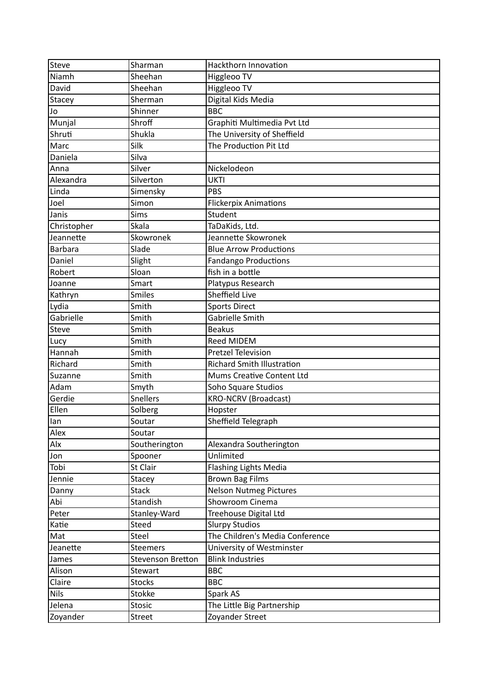| Steve          | Sharman           | Hackthorn Innovation              |
|----------------|-------------------|-----------------------------------|
| Niamh          | Sheehan           | Higgleoo TV                       |
| David          | Sheehan           | Higgleoo TV                       |
| Stacey         | Sherman           | Digital Kids Media                |
| Jo             | Shinner           | <b>BBC</b>                        |
| Munjal         | Shroff            | Graphiti Multimedia Pvt Ltd       |
| Shruti         | Shukla            | The University of Sheffield       |
| Marc           | Silk              | The Production Pit Ltd            |
| Daniela        | Silva             |                                   |
| Anna           | Silver            | Nickelodeon                       |
| Alexandra      | Silverton         | <b>UKTI</b>                       |
| Linda          | Simensky          | PBS                               |
| Joel           | Simon             | <b>Flickerpix Animations</b>      |
| Janis          | <b>Sims</b>       | Student                           |
| Christopher    | Skala             | TaDaKids, Ltd.                    |
| Jeannette      | Skowronek         | Jeannette Skowronek               |
| <b>Barbara</b> | Slade             | <b>Blue Arrow Productions</b>     |
| Daniel         | Slight            | <b>Fandango Productions</b>       |
| Robert         | Sloan             | fish in a bottle                  |
| Joanne         | Smart             | Platypus Research                 |
| Kathryn        | <b>Smiles</b>     | Sheffield Live                    |
| Lydia          | Smith             | <b>Sports Direct</b>              |
| Gabrielle      | Smith             | <b>Gabrielle Smith</b>            |
| <b>Steve</b>   | Smith             | <b>Beakus</b>                     |
| Lucy           | Smith             | <b>Reed MIDEM</b>                 |
| Hannah         | Smith             | <b>Pretzel Television</b>         |
| Richard        | Smith             | <b>Richard Smith Illustration</b> |
| Suzanne        | Smith             | Mums Creative Content Ltd         |
| Adam           | Smyth             | Soho Square Studios               |
| Gerdie         | <b>Snellers</b>   | <b>KRO-NCRV (Broadcast)</b>       |
| Ellen          | Solberg           | Hopster                           |
| lan            | Soutar            | Sheffield Telegraph               |
| Alex           | Soutar            |                                   |
| Alx            | Southerington     | Alexandra Southerington           |
| Jon            | Spooner           | Unlimited                         |
| Tobi           | St Clair          | <b>Flashing Lights Media</b>      |
| Jennie         | <b>Stacey</b>     | <b>Brown Bag Films</b>            |
| Danny          | <b>Stack</b>      | <b>Nelson Nutmeg Pictures</b>     |
| Abi            | Standish          | Showroom Cinema                   |
| Peter          | Stanley-Ward      | Treehouse Digital Ltd             |
| Katie          | <b>Steed</b>      | <b>Slurpy Studios</b>             |
| Mat            | Steel             | The Children's Media Conference   |
| Jeanette       | <b>Steemers</b>   | University of Westminster         |
| James          | Stevenson Bretton | <b>Blink Industries</b>           |
| Alison         | Stewart           | <b>BBC</b>                        |
| Claire         | <b>Stocks</b>     | <b>BBC</b>                        |
| <b>Nils</b>    | Stokke            | Spark AS                          |
| Jelena         | <b>Stosic</b>     | The Little Big Partnership        |
| Zoyander       | <b>Street</b>     | Zoyander Street                   |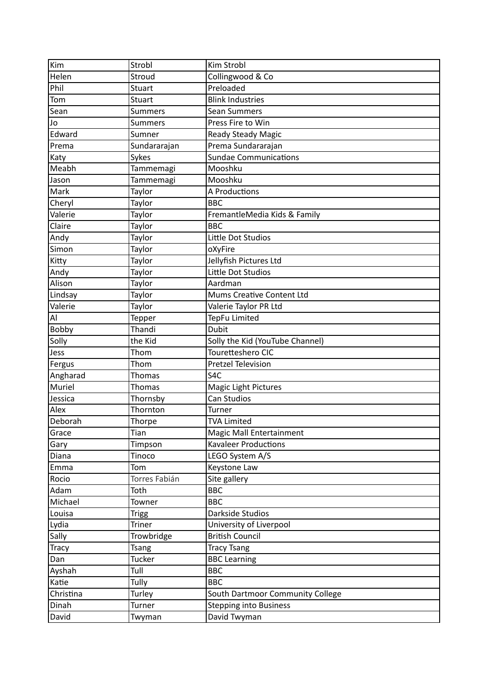| Kim          | Strobl         | Kim Strobl                       |
|--------------|----------------|----------------------------------|
| Helen        | Stroud         | Collingwood & Co                 |
| Phil         | <b>Stuart</b>  | Preloaded                        |
| Tom          | <b>Stuart</b>  | <b>Blink Industries</b>          |
| Sean         | <b>Summers</b> | <b>Sean Summers</b>              |
| Jo           | <b>Summers</b> | Press Fire to Win                |
| Edward       | Sumner         | Ready Steady Magic               |
| Prema        | Sundararajan   | Prema Sundararajan               |
| Katy         | Sykes          | <b>Sundae Communications</b>     |
| Meabh        | Tammemagi      | Mooshku                          |
| Jason        | Tammemagi      | Mooshku                          |
| Mark         | Taylor         | A Productions                    |
| Cheryl       | Taylor         | <b>BBC</b>                       |
| Valerie      | Taylor         | FremantleMedia Kids & Family     |
| Claire       | Taylor         | <b>BBC</b>                       |
| Andy         | Taylor         | Little Dot Studios               |
| Simon        | Taylor         | oXyFire                          |
| Kitty        | Taylor         | Jellyfish Pictures Ltd           |
| Andy         | Taylor         | Little Dot Studios               |
| Alison       | Taylor         | Aardman                          |
| Lindsay      | Taylor         | Mums Creative Content Ltd        |
| Valerie      | Taylor         | Valerie Taylor PR Ltd            |
| Al           | Tepper         | TepFu Limited                    |
| Bobby        | Thandi         | <b>Dubit</b>                     |
| Solly        | the Kid        | Solly the Kid (YouTube Channel)  |
| Jess         | Thom           | Touretteshero CIC                |
| Fergus       | Thom           | <b>Pretzel Television</b>        |
| Angharad     | Thomas         | S <sub>4</sub> C                 |
| Muriel       | Thomas         | <b>Magic Light Pictures</b>      |
| Jessica      | Thornsby       | Can Studios                      |
| Alex         | Thornton       | <b>Turner</b>                    |
| Deborah      | Thorpe         | <b>TVA Limited</b>               |
| Grace        | Tian           | Magic Mall Entertainment         |
| Gary         | Timpson        | <b>Kavaleer Productions</b>      |
| Diana        | Tinoco         | LEGO System A/S                  |
| Emma         | Tom            | Keystone Law                     |
| Rocio        | Torres Fabián  | Site gallery                     |
| Adam         | Toth           | <b>BBC</b>                       |
| Michael      | Towner         | <b>BBC</b>                       |
| Louisa       | <b>Trigg</b>   | Darkside Studios                 |
| Lydia        | <b>Triner</b>  | University of Liverpool          |
| Sally        | Trowbridge     | <b>British Council</b>           |
| <b>Tracy</b> | <b>Tsang</b>   | <b>Tracy Tsang</b>               |
| Dan          | Tucker         | <b>BBC Learning</b>              |
| Ayshah       | Tull           | <b>BBC</b>                       |
| Katie        | Tully          | <b>BBC</b>                       |
| Christina    | Turley         | South Dartmoor Community College |
| Dinah        | Turner         | <b>Stepping into Business</b>    |
| David        | Twyman         | David Twyman                     |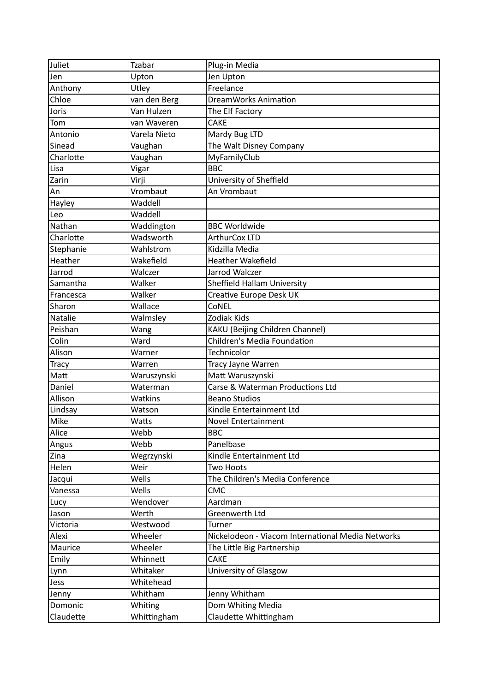| Juliet       | Tzabar       | Plug-in Media                                     |
|--------------|--------------|---------------------------------------------------|
| Jen          | Upton        | Jen Upton                                         |
| Anthony      | Utley        | Freelance                                         |
| Chloe        | van den Berg | <b>DreamWorks Animation</b>                       |
| Joris        | Van Hulzen   | The Elf Factory                                   |
| Tom          | van Waveren  | <b>CAKE</b>                                       |
| Antonio      | Varela Nieto | Mardy Bug LTD                                     |
| Sinead       | Vaughan      | The Walt Disney Company                           |
| Charlotte    | Vaughan      | MyFamilyClub                                      |
| Lisa         | Vigar        | <b>BBC</b>                                        |
| Zarin        | Virji        | University of Sheffield                           |
| An           | Vrombaut     | An Vrombaut                                       |
| Hayley       | Waddell      |                                                   |
| Leo          | Waddell      |                                                   |
| Nathan       | Waddington   | <b>BBC Worldwide</b>                              |
| Charlotte    | Wadsworth    | ArthurCox LTD                                     |
| Stephanie    | Wahlstrom    | Kidzilla Media                                    |
| Heather      | Wakefield    | <b>Heather Wakefield</b>                          |
| Jarrod       | Walczer      | Jarrod Walczer                                    |
| Samantha     | Walker       | Sheffield Hallam University                       |
| Francesca    | Walker       | Creative Europe Desk UK                           |
| Sharon       | Wallace      | CoNEL                                             |
| Natalie      | Walmsley     | Zodiak Kids                                       |
| Peishan      | Wang         | <b>KAKU</b> (Beijing Children Channel)            |
| Colin        | Ward         | Children's Media Foundation                       |
| Alison       | Warner       | Technicolor                                       |
| <b>Tracy</b> | Warren       | Tracy Jayne Warren                                |
| Matt         | Waruszynski  | Matt Waruszynski                                  |
| Daniel       | Waterman     | Carse & Waterman Productions Ltd                  |
| Allison      | Watkins      | <b>Beano Studios</b>                              |
| Lindsay      | Watson       | Kindle Entertainment Ltd                          |
| Mike         | Watts        | <b>Novel Entertainment</b>                        |
| Alice        | Webb         | <b>BBC</b>                                        |
| Angus        | Webb         | Panelbase                                         |
| Zina         | Wegrzynski   | Kindle Entertainment Ltd                          |
| Helen        | Weir         | Two Hoots                                         |
| Jacqui       | Wells        | The Children's Media Conference                   |
| Vanessa      | Wells        | <b>CMC</b>                                        |
| Lucy         | Wendover     | Aardman                                           |
| Jason        | Werth        | Greenwerth Ltd                                    |
| Victoria     | Westwood     | Turner                                            |
| Alexi        | Wheeler      | Nickelodeon - Viacom International Media Networks |
| Maurice      | Wheeler      | The Little Big Partnership                        |
| Emily        | Whinnett     | <b>CAKE</b>                                       |
| Lynn         | Whitaker     | University of Glasgow                             |
| Jess         | Whitehead    |                                                   |
| Jenny        | Whitham      | Jenny Whitham                                     |
| Domonic      | Whiting      | Dom Whiting Media                                 |
| Claudette    | Whittingham  | Claudette Whittingham                             |